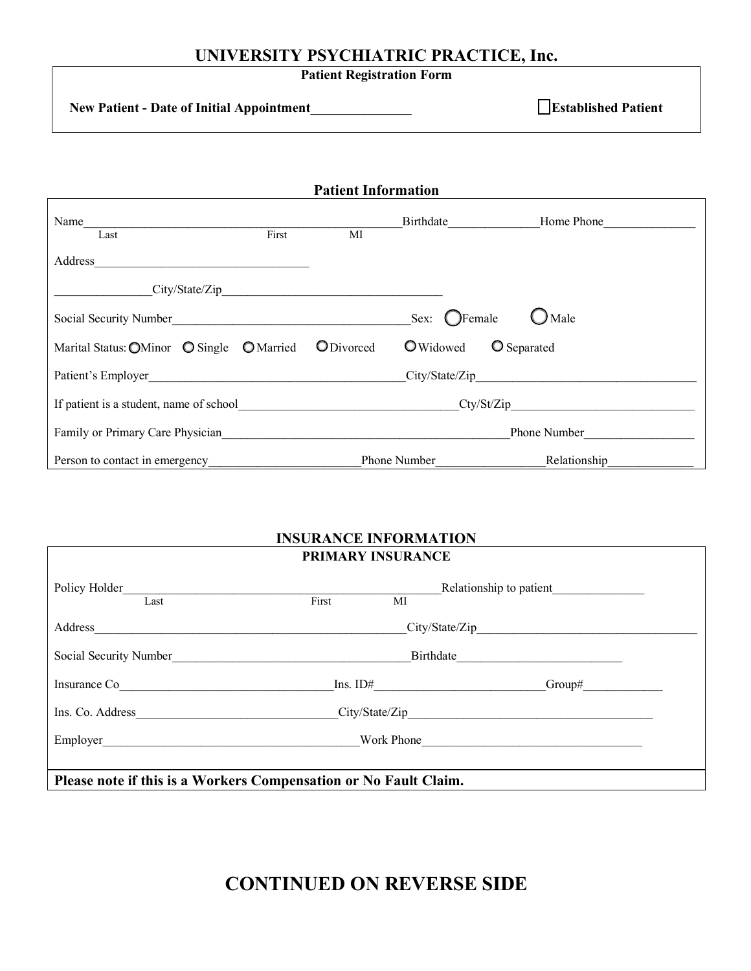## **UNIVERSITY PSYCHIATRIC PRACTICE, Inc.**

**Patient Registration Form**

**New Patient - Date of Initial Appointment\_\_\_\_\_\_\_\_\_\_\_\_\_\_\_ Established Patient**

| <b>Patient Information</b>                |                                       |                    |  |  |  |
|-------------------------------------------|---------------------------------------|--------------------|--|--|--|
| Name                                      |                                       | Home Phone         |  |  |  |
| First<br>Last                             | MI                                    |                    |  |  |  |
| Address                                   |                                       |                    |  |  |  |
|                                           |                                       |                    |  |  |  |
| Social Security Number                    | Sex: $Q$ Female                       | ) Male             |  |  |  |
| Marital Status: OMinor O Single O Married | <b>O</b> Widowed<br><b>O</b> Divorced | <b>O</b> Separated |  |  |  |
| Patient's Employer                        |                                       | City/State/Zip     |  |  |  |
| If patient is a student, name of school   | Cty/St/Zip                            |                    |  |  |  |
| Family or Primary Care Physician          |                                       | Phone Number       |  |  |  |
| Person to contact in emergency            | Phone Number                          | Relationship       |  |  |  |

## **INSURANCE INFORMATION PRIMARY INSURANCE**

| Policy Holder<br>Last                                            | Relationship to patient<br>First<br>MI |                   |                |  |  |
|------------------------------------------------------------------|----------------------------------------|-------------------|----------------|--|--|
| Address                                                          |                                        |                   | City/State/Zip |  |  |
| Social Security Number                                           |                                        | Birthdate         |                |  |  |
| Insurance Co                                                     |                                        | $\text{Ins. ID#}$ | $Group\#$      |  |  |
| Ins. Co. Address                                                 |                                        |                   | City/State/Zip |  |  |
| Employer                                                         |                                        | Work Phone        |                |  |  |
| Please note if this is a Workers Compensation or No Fault Claim. |                                        |                   |                |  |  |

# **CONTINUED ON REVERSE SIDE**